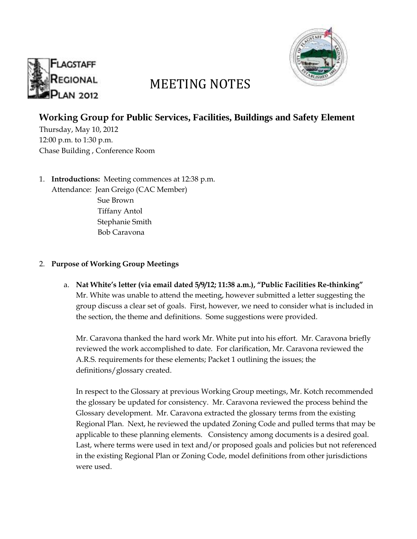



# MEETING NOTES

## **Working Group for Public Services, Facilities, Buildings and Safety Element**

Thursday, May 10, 2012 12:00 p.m. to 1:30 p.m. Chase Building , Conference Room

1. **Introductions:** Meeting commences at 12:38 p.m. Attendance: Jean Greigo (CAC Member) Sue Brown Tiffany Antol Stephanie Smith Bob Caravona

#### 2. **Purpose of Working Group Meetings**

a. **Nat White's letter (via email dated 5/9/12; 11:38 a.m.), "Public Facilities Re-thinking"** Mr. White was unable to attend the meeting, however submitted a letter suggesting the group discuss a clear set of goals. First, however, we need to consider what is included in the section, the theme and definitions. Some suggestions were provided.

Mr. Caravona thanked the hard work Mr. White put into his effort. Mr. Caravona briefly reviewed the work accomplished to date. For clarification, Mr. Caravona reviewed the A.R.S. requirements for these elements; Packet 1 outlining the issues; the definitions/glossary created.

In respect to the Glossary at previous Working Group meetings, Mr. Kotch recommended the glossary be updated for consistency. Mr. Caravona reviewed the process behind the Glossary development. Mr. Caravona extracted the glossary terms from the existing Regional Plan. Next, he reviewed the updated Zoning Code and pulled terms that may be applicable to these planning elements. Consistency among documents is a desired goal. Last, where terms were used in text and/or proposed goals and policies but not referenced in the existing Regional Plan or Zoning Code, model definitions from other jurisdictions were used.